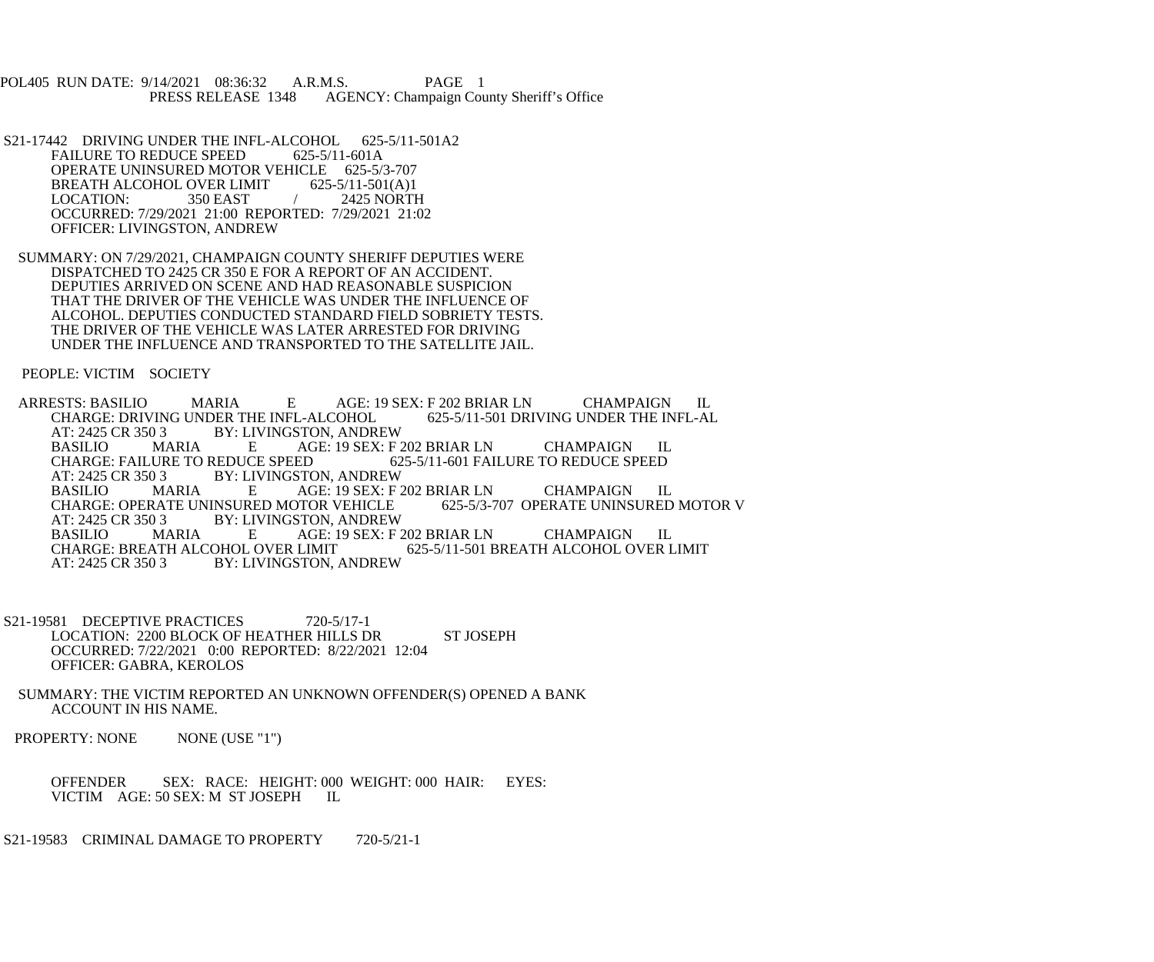POL405 RUN DATE: 9/14/2021 08:36:32 A.R.M.S. PAGE 1<br>PRESS RELEASE 1348 AGENCY: Champaign Cou AGENCY: Champaign County Sheriff's Office

- S21-17442 DRIVING UNDER THE INFL-ALCOHOL 625-5/11-501A2<br>FAILURE TO REDUCE SPEED 625-5/11-601A FAILURE TO REDUCE SPEED OPERATE UNINSURED MOTOR VEHICLE 625-5/3-707<br>BREATH ALCOHOL OVER LIMIT 625-5/11-501(A)1 BREATH ALCOHOL OVER LIMIT<br>LOCATION: 350 EAST 2425 NORTH OCCURRED: 7/29/2021 21:00 REPORTED: 7/29/2021 21:02 OFFICER: LIVINGSTON, ANDREW
- SUMMARY: ON 7/29/2021, CHAMPAIGN COUNTY SHERIFF DEPUTIES WERE DISPATCHED TO 2425 CR 350 E FOR A REPORT OF AN ACCIDENT. DEPUTIES ARRIVED ON SCENE AND HAD REASONABLE SUSPICION THAT THE DRIVER OF THE VEHICLE WAS UNDER THE INFLUENCE OF ALCOHOL. DEPUTIES CONDUCTED STANDARD FIELD SOBRIETY TESTS. THE DRIVER OF THE VEHICLE WAS LATER ARRESTED FOR DRIVING UNDER THE INFLUENCE AND TRANSPORTED TO THE SATELLITE JAIL.

PEOPLE: VICTIM SOCIETY

ARRESTS: BASILIO MARIA E AGE: 19 SEX: F 202 BRIAR LN CHAMPAIGN IL<br>CHARGE: DRIVING UNDER THE INFL-ALCOHOL 625-5/11-501 DRIVING UNDER THE INFL-AL CHARGE: DRIVING UNDER THE INFL-ALCOHOL AT: 2425 CR 350 3 BY: LIVINGSTON, ANDREW<br>BASILIO MARIA E AGE: 19 SEX: F BASILIO MARIA E AGE: 19 SEX: F 202 BRIAR LN CHAMPAIGN IL CHARGE: FAILURE TO REDUCE SPEED 625-5/11-601 FAILURE TO REDUCE SPEED CHARGE: FAILURE TO REDUCE SPEED 625-5/11-601 FAILURE TO REDUCE SPEED<br>AT: 2425 CR 350 3 BY: LIVINGSTON. ANDREW BY: LIVINGSTON, ANDREW BASILIO MARIA E AGE: 19 SEX: F 202 BRIAR LN CHAMPAIGN IL CHARGE: OPERATE UNINSURED MOTOR V CHARGE: OPERATE UNINSURED MOTOR VEHICLE<br>AT: 2425 CR 350 3 BY: LIVINGSTON, ANDREW AT: 2425 CR 350 3 BY: LIVINGSTON, ANDREW<br>BASILIO MARIA E AGE: 19 SEX: F BASILIO MARIA E AGE: 19 SEX: F 202 BRIAR LN CHAMPAIGN IL CHARGE: BREATH ALCOHOL OVER LIMIT 625-5/11-501 BREATH ALCOHOL OVER L 625-5/11-501 BREATH ALCOHOL OVER LIMIT AT: 2425 CR 350 3 BY: LIVINGSTON, ANDREW

- S21-19581 DECEPTIVE PRACTICES 720-5/17-1 LOCATION: 2200 BLOCK OF HEATHER HILLS DR ST JOSEPH OCCURRED: 7/22/2021 0:00 REPORTED: 8/22/2021 12:04 OFFICER: GABRA, KEROLOS
- SUMMARY: THE VICTIM REPORTED AN UNKNOWN OFFENDER(S) OPENED A BANK ACCOUNT IN HIS NAME.

PROPERTY: NONE NONE (USE "1")

 OFFENDER SEX: RACE: HEIGHT: 000 WEIGHT: 000 HAIR: EYES: VICTIM AGE: 50 SEX: M ST JOSEPH IL

S21-19583 CRIMINAL DAMAGE TO PROPERTY 720-5/21-1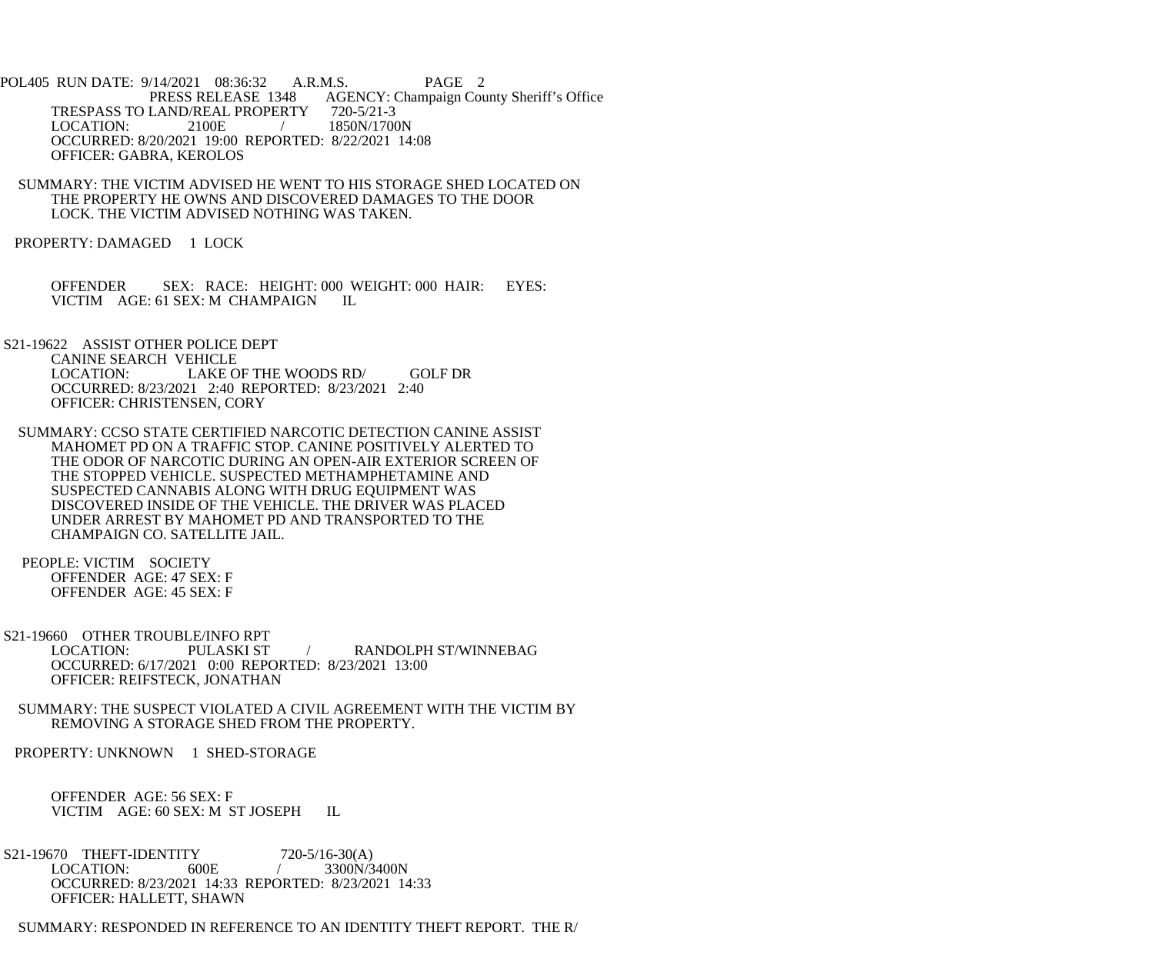- POL405 RUN DATE: 9/14/2021 08:36:32 A.R.M.S. PAGE 2 PRESS RELEASE 1348 AGENCY: Champaign County Sheriff's Office TRESPASS TO LAND/REAL PROPERTY 720-5/21-3<br>LOCATION: 2100E / 1850N/1700 / 1850N/1700N OCCURRED: 8/20/2021 19:00 REPORTED: 8/22/2021 14:08 OFFICER: GABRA, KEROLOS
	- SUMMARY: THE VICTIM ADVISED HE WENT TO HIS STORAGE SHED LOCATED ON THE PROPERTY HE OWNS AND DISCOVERED DAMAGES TO THE DOOR LOCK. THE VICTIM ADVISED NOTHING WAS TAKEN.
- PROPERTY: DAMAGED 1 LOCK
	- OFFENDER SEX: RACE: HEIGHT: 000 WEIGHT: 000 HAIR: EYES: VICTIM AGE: 61 SEX: M CHAMPAIGN IL
- S21-19622 ASSIST OTHER POLICE DEPT CANINE SEARCH VEHICLE<br>LOCATION: LAKE C LAKE OF THE WOODS RD/ GOLF DR OCCURRED: 8/23/2021 2:40 REPORTED: 8/23/2021 2:40 OFFICER: CHRISTENSEN, CORY
- SUMMARY: CCSO STATE CERTIFIED NARCOTIC DETECTION CANINE ASSIST MAHOMET PD ON A TRAFFIC STOP. CANINE POSITIVELY ALERTED TO THE ODOR OF NARCOTIC DURING AN OPEN-AIR EXTERIOR SCREEN OF THE STOPPED VEHICLE. SUSPECTED METHAMPHETAMINE AND SUSPECTED CANNABIS ALONG WITH DRUG EQUIPMENT WAS DISCOVERED INSIDE OF THE VEHICLE. THE DRIVER WAS PLACED UNDER ARREST BY MAHOMET PD AND TRANSPORTED TO THE CHAMPAIGN CO. SATELLITE JAIL.
- PEOPLE: VICTIM SOCIETY OFFENDER AGE: 47 SEX: F OFFENDER AGE: 45 SEX: F
- S21-19660 OTHER TROUBLE/INFO RPT LOCATION: PULASKI ST / RANDOLPH ST/WINNEBAG OCCURRED: 6/17/2021 0:00 REPORTED: 8/23/2021 13:00 OFFICER: REIFSTECK, JONATHAN
- SUMMARY: THE SUSPECT VIOLATED A CIVIL AGREEMENT WITH THE VICTIM BY REMOVING A STORAGE SHED FROM THE PROPERTY.
- PROPERTY: UNKNOWN 1 SHED-STORAGE
	- OFFENDER AGE: 56 SEX: F VICTIM AGE: 60 SEX: M ST JOSEPH IL
- S21-19670 THEFT-IDENTITY 720-5/16-30(A)<br>LOCATION: 600E / 3300N/3  $/ 3300N/3400N$  OCCURRED: 8/23/2021 14:33 REPORTED: 8/23/2021 14:33 OFFICER: HALLETT, SHAWN
- SUMMARY: RESPONDED IN REFERENCE TO AN IDENTITY THEFT REPORT. THE R/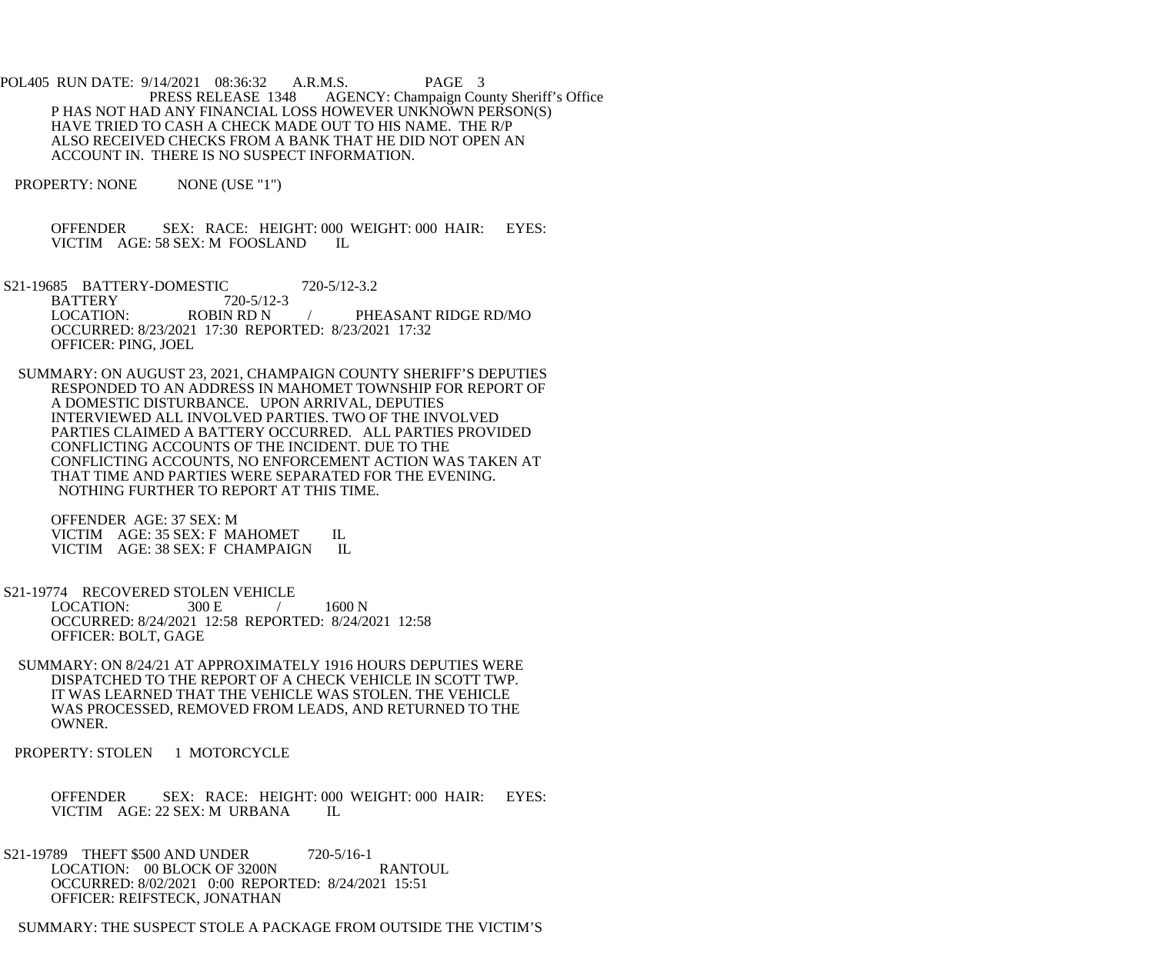POL405 RUN DATE: 9/14/2021 08:36:32 A.R.M.S. PAGE 3<br>PRESS RELEASE 1348 AGENCY: Champaign Cou AGENCY: Champaign County Sheriff's Office P HAS NOT HAD ANY FINANCIAL LOSS HOWEVER UNKNOWN PERSON(S) HAVE TRIED TO CASH A CHECK MADE OUT TO HIS NAME. THE R/P ALSO RECEIVED CHECKS FROM A BANK THAT HE DID NOT OPEN AN ACCOUNT IN. THERE IS NO SUSPECT INFORMATION.

PROPERTY: NONE NONE (USE "1")

 OFFENDER SEX: RACE: HEIGHT: 000 WEIGHT: 000 HAIR: EYES: VICTIM AGE: 58 SEX: M FOOSLAND IL

S21-19685 BATTERY-DOMESTIC 720-5/12-3.2<br>BATTERY 720-5/12-3 BATTERY 720-5/12<br>LOCATION: ROBIN RD N PHEASANT RIDGE RD/MO OCCURRED: 8/23/2021 17:30 REPORTED: 8/23/2021 17:32 OFFICER: PING, JOEL

 SUMMARY: ON AUGUST 23, 2021, CHAMPAIGN COUNTY SHERIFF'S DEPUTIES RESPONDED TO AN ADDRESS IN MAHOMET TOWNSHIP FOR REPORT OF A DOMESTIC DISTURBANCE. UPON ARRIVAL, DEPUTIES INTERVIEWED ALL INVOLVED PARTIES. TWO OF THE INVOLVED PARTIES CLAIMED A BATTERY OCCURRED. ALL PARTIES PROVIDED CONFLICTING ACCOUNTS OF THE INCIDENT. DUE TO THE CONFLICTING ACCOUNTS, NO ENFORCEMENT ACTION WAS TAKEN AT THAT TIME AND PARTIES WERE SEPARATED FOR THE EVENING. NOTHING FURTHER TO REPORT AT THIS TIME.

 OFFENDER AGE: 37 SEX: M VICTIM AGE: 35 SEX: F MAHOMET IL<br>VICTIM AGE: 38 SEX: F CHAMPAIGN IL VICTIM AGE: 38 SEX: F CHAMPAIGN

S21-19774 RECOVERED STOLEN VEHICLE<br>LOCATION: 300 E / LOCATION:  $300 E$  / 1600 N OCCURRED: 8/24/2021 12:58 REPORTED: 8/24/2021 12:58 OFFICER: BOLT, GAGE

 SUMMARY: ON 8/24/21 AT APPROXIMATELY 1916 HOURS DEPUTIES WERE DISPATCHED TO THE REPORT OF A CHECK VEHICLE IN SCOTT TWP. IT WAS LEARNED THAT THE VEHICLE WAS STOLEN. THE VEHICLE WAS PROCESSED, REMOVED FROM LEADS, AND RETURNED TO THE OWNER.

PROPERTY: STOLEN 1 MOTORCYCLE

 OFFENDER SEX: RACE: HEIGHT: 000 WEIGHT: 000 HAIR: EYES: VICTIM AGE: 22 SEX: M URBANA IL

S21-19789 THEFT \$500 AND UNDER 720-5/16-1 LOCATION: 00 BLOCK OF 3200N RANTOUL OCCURRED: 8/02/2021 0:00 REPORTED: 8/24/2021 15:51 OFFICER: REIFSTECK, JONATHAN

SUMMARY: THE SUSPECT STOLE A PACKAGE FROM OUTSIDE THE VICTIM'S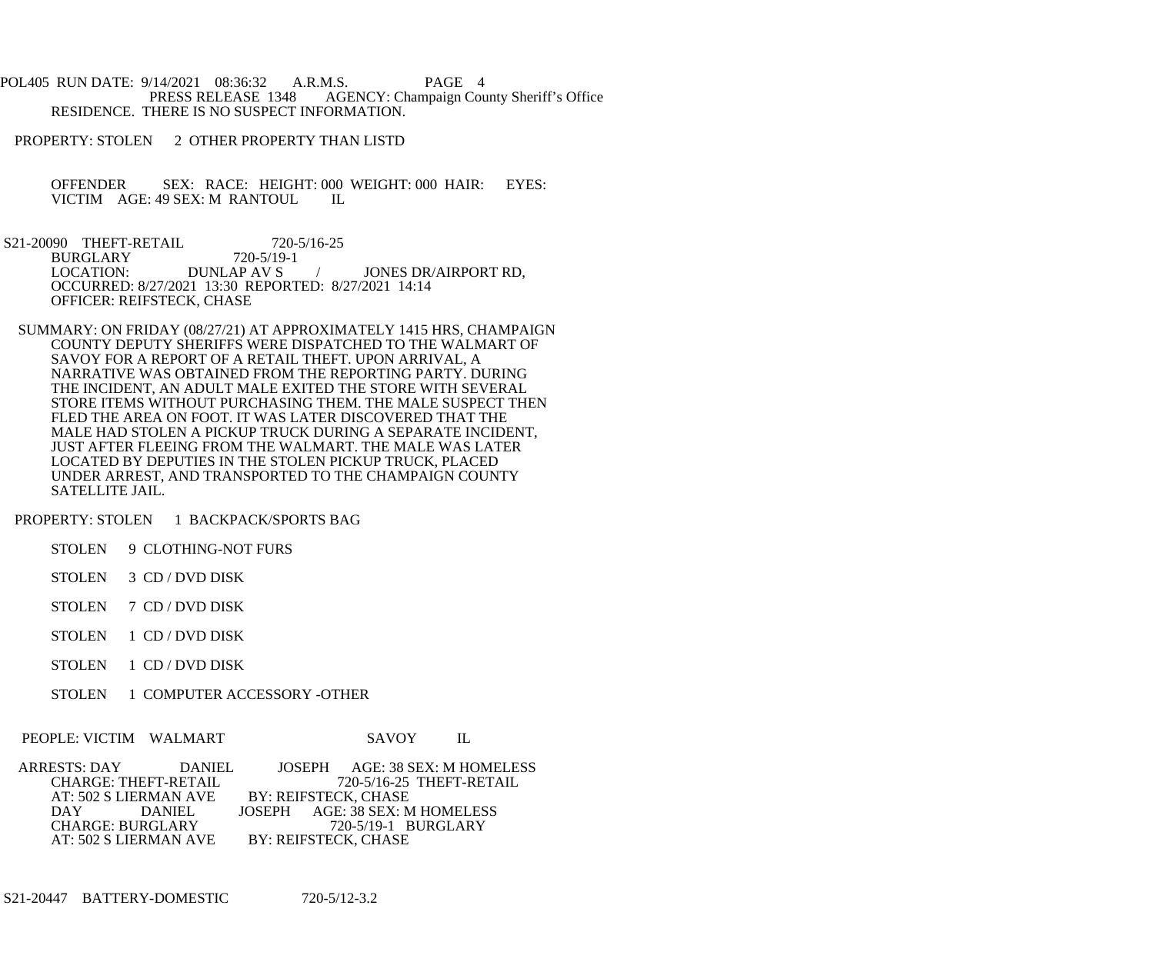POL405 RUN DATE: 9/14/2021 08:36:32 A.R.M.S. PAGE 4<br>PRESS RELEASE 1348 AGENCY: Champaign Cou AGENCY: Champaign County Sheriff's Office RESIDENCE. THERE IS NO SUSPECT INFORMATION.

PROPERTY: STOLEN 2 OTHER PROPERTY THAN LISTD

OFFENDER SEX: RACE: HEIGHT: 000 WEIGHT: 000 HAIR: EYES:<br>VICTIM AGE: 49 SEX: M RANTOUL IL VICTIM AGE: 49 SEX: M RANTOUL

- S21-20090 THEFT-RETAIL 720-5/16-25<br>BURGLARY 720-5/19-1 BURGLARY 720-5/19<br>LOCATION: DUNLAP AV S JONES DR/AIRPORT RD, OCCURRED: 8/27/2021 13:30 REPORTED: 8/27/2021 14:14 OFFICER: REIFSTECK, CHASE
- SUMMARY: ON FRIDAY (08/27/21) AT APPROXIMATELY 1415 HRS, CHAMPAIGN COUNTY DEPUTY SHERIFFS WERE DISPATCHED TO THE WALMART OF SAVOY FOR A REPORT OF A RETAIL THEFT. UPON ARRIVAL, A NARRATIVE WAS OBTAINED FROM THE REPORTING PARTY. DURING THE INCIDENT, AN ADULT MALE EXITED THE STORE WITH SEVERAL STORE ITEMS WITHOUT PURCHASING THEM. THE MALE SUSPECT THEN FLED THE AREA ON FOOT. IT WAS LATER DISCOVERED THAT THE MALE HAD STOLEN A PICKUP TRUCK DURING A SEPARATE INCIDENT, JUST AFTER FLEEING FROM THE WALMART. THE MALE WAS LATER LOCATED BY DEPUTIES IN THE STOLEN PICKUP TRUCK, PLACED UNDER ARREST, AND TRANSPORTED TO THE CHAMPAIGN COUNTY SATELLITE JAIL.

PROPERTY: STOLEN 1 BACKPACK/SPORTS BAG

STOLEN 9 CLOTHING-NOT FURS

- STOLEN 3 CD / DVD DISK
- STOLEN 7 CD / DVD DISK
- STOLEN 1 CD / DVD DISK
- STOLEN 1 CD / DVD DISK
- STOLEN 1 COMPUTER ACCESSORY -OTHER

PEOPLE: VICTIM WALMART SAVOY IL

| ARRESTS: DAY | DANIEL                      |                      |                      | JOSEPH AGE: 38 SEX: M HOMELESS |  |
|--------------|-----------------------------|----------------------|----------------------|--------------------------------|--|
|              | <b>CHARGE: THEFT-RETAIL</b> |                      |                      | 720-5/16-25 THEFT-RETAIL       |  |
|              | AT: 502 S LIERMAN AVE       | BY: REIFSTECK, CHASE |                      |                                |  |
|              | DAY DANIEL                  |                      |                      | JOSEPH AGE: 38 SEX: M HOMELESS |  |
|              | <b>CHARGE: BURGLARY</b>     |                      |                      | 720-5/19-1 BURGLARY            |  |
|              | AT: 502 S LIERMAN AVE       |                      | BY: REIFSTECK, CHASE |                                |  |

S21-20447 BATTERY-DOMESTIC 720-5/12-3.2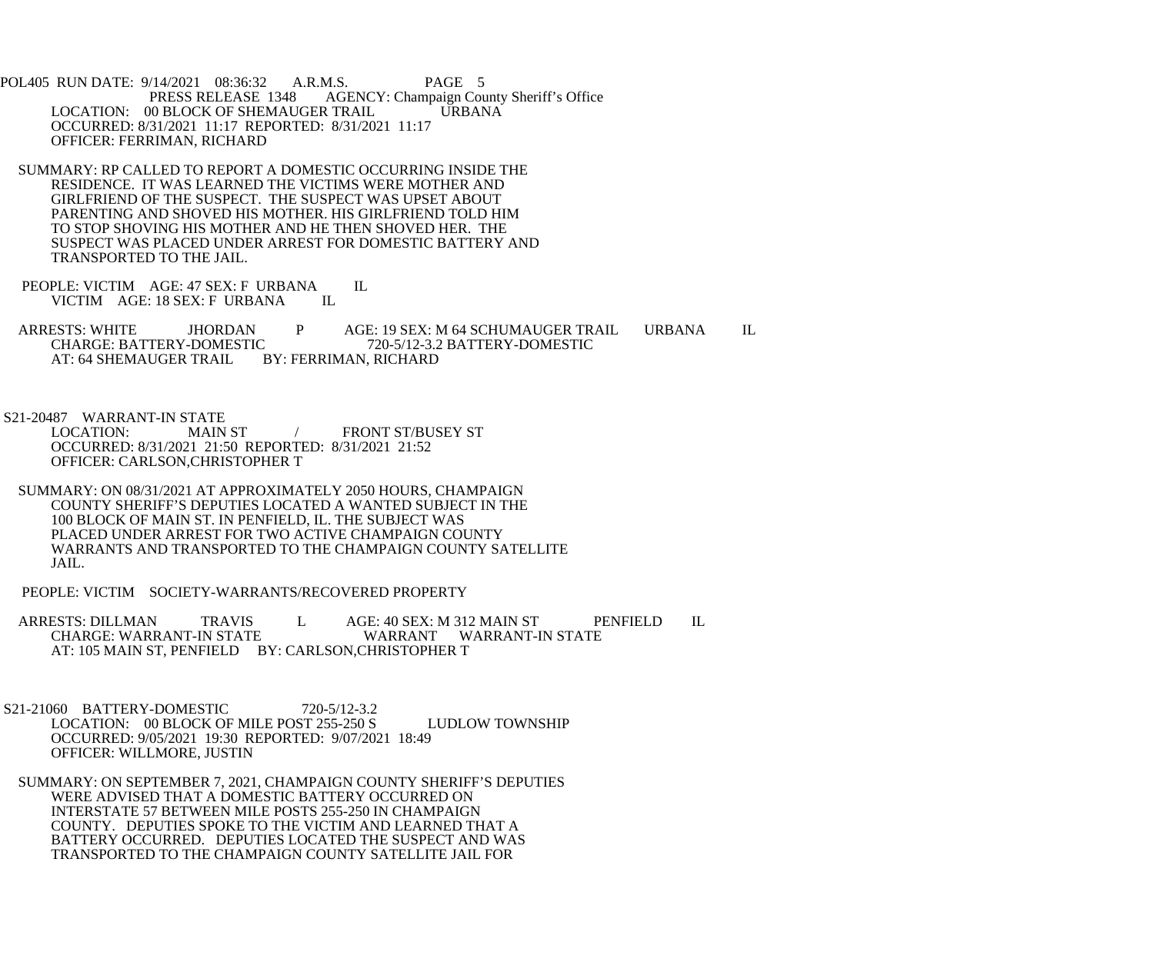POL405 RUN DATE: 9/14/2021 08:36:32 A.R.M.S. PAGE 5<br>PRESS RELEASE 1348 AGENCY: Champaign Cou AGENCY: Champaign County Sheriff's Office LOCATION: 00 BLOCK OF SHEMAUGER TRAIL URBANA OCCURRED: 8/31/2021 11:17 REPORTED: 8/31/2021 11:17 OFFICER: FERRIMAN, RICHARD

- SUMMARY: RP CALLED TO REPORT A DOMESTIC OCCURRING INSIDE THE RESIDENCE. IT WAS LEARNED THE VICTIMS WERE MOTHER AND GIRLFRIEND OF THE SUSPECT. THE SUSPECT WAS UPSET ABOUT PARENTING AND SHOVED HIS MOTHER. HIS GIRLFRIEND TOLD HIM TO STOP SHOVING HIS MOTHER AND HE THEN SHOVED HER. THE SUSPECT WAS PLACED UNDER ARREST FOR DOMESTIC BATTERY AND TRANSPORTED TO THE JAIL.
- PEOPLE: VICTIM AGE: 47 SEX: F URBANA IL<br>VICTIM AGE: 18 SEX: F URBANA IL VICTIM AGE: 18 SEX: F URBANA

ARRESTS: WHITE JHORDAN P AGE: 19 SEX: M 64 SCHUMAUGER TRAIL URBANA IL CHARGE: BATTERY-DOMESTIC 720-5/12-3.2 BATTERY-DOMESTIC CHARGE: BATTERY-DOMESTIC 720-5/12-3.2 BATTERY-DOMESTIC<br>AT: 64 SHEMAUGER TRAIL BY: FERRIMAN, RICHARD BY: FERRIMAN, RICHARD

S21-20487 WARRANT-IN STATE

 LOCATION: MAIN ST / FRONT ST/BUSEY ST OCCURRED: 8/31/2021 21:50 REPORTED: 8/31/2021 21:52 OFFICER: CARLSON,CHRISTOPHER T

- SUMMARY: ON 08/31/2021 AT APPROXIMATELY 2050 HOURS, CHAMPAIGN COUNTY SHERIFF'S DEPUTIES LOCATED A WANTED SUBJECT IN THE 100 BLOCK OF MAIN ST. IN PENFIELD, IL. THE SUBJECT WAS PLACED UNDER ARREST FOR TWO ACTIVE CHAMPAIGN COUNTY WARRANTS AND TRANSPORTED TO THE CHAMPAIGN COUNTY SATELLITE JAIL.
- PEOPLE: VICTIM SOCIETY-WARRANTS/RECOVERED PROPERTY

ARRESTS: DILLMAN TRAVIS L AGE: 40 SEX: M 312 MAIN ST PENFIELD IL<br>CHARGE: WARRANT-IN STATE WARRANT WARRANT-IN STATE WARRANT WARRANT-IN STATE AT: 105 MAIN ST, PENFIELD BY: CARLSON, CHRISTOPHER T

 S21-21060 BATTERY-DOMESTIC 720-5/12-3.2 LOCATION: 00 BLOCK OF MILE POST 255-250 S LUDLOW TOWNSHIP OCCURRED: 9/05/2021 19:30 REPORTED: 9/07/2021 18:49 OFFICER: WILLMORE, JUSTIN

 SUMMARY: ON SEPTEMBER 7, 2021, CHAMPAIGN COUNTY SHERIFF'S DEPUTIES WERE ADVISED THAT A DOMESTIC BATTERY OCCURRED ON INTERSTATE 57 BETWEEN MILE POSTS 255-250 IN CHAMPAIGN COUNTY. DEPUTIES SPOKE TO THE VICTIM AND LEARNED THAT A BATTERY OCCURRED. DEPUTIES LOCATED THE SUSPECT AND WAS TRANSPORTED TO THE CHAMPAIGN COUNTY SATELLITE JAIL FOR